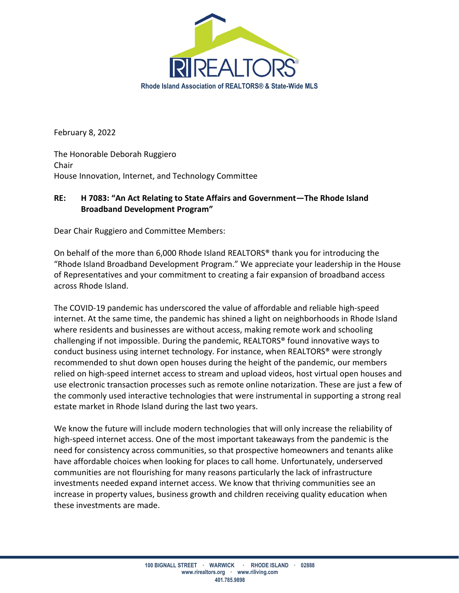

February 8, 2022

The Honorable Deborah Ruggiero Chair House Innovation, Internet, and Technology Committee

## **RE: H 7083: "An Act Relating to State Affairs and Government—The Rhode Island Broadband Development Program"**

Dear Chair Ruggiero and Committee Members:

On behalf of the more than 6,000 Rhode Island REALTORS® thank you for introducing the "Rhode Island Broadband Development Program." We appreciate your leadership in the House of Representatives and your commitment to creating a fair expansion of broadband access across Rhode Island.

The COVID-19 pandemic has underscored the value of affordable and reliable high-speed internet. At the same time, the pandemic has shined a light on neighborhoods in Rhode Island where residents and businesses are without access, making remote work and schooling challenging if not impossible. During the pandemic, REALTORS® found innovative ways to conduct business using internet technology. For instance, when REALTORS® were strongly recommended to shut down open houses during the height of the pandemic, our members relied on high-speed internet access to stream and upload videos, host virtual open houses and use electronic transaction processes such as remote online notarization. These are just a few of the commonly used interactive technologies that were instrumental in supporting a strong real estate market in Rhode Island during the last two years.

We know the future will include modern technologies that will only increase the reliability of high-speed internet access. One of the most important takeaways from the pandemic is the need for consistency across communities, so that prospective homeowners and tenants alike have affordable choices when looking for places to call home. Unfortunately, underserved communities are not flourishing for many reasons particularly the lack of infrastructure investments needed expand internet access. We know that thriving communities see an increase in property values, business growth and children receiving quality education when these investments are made.